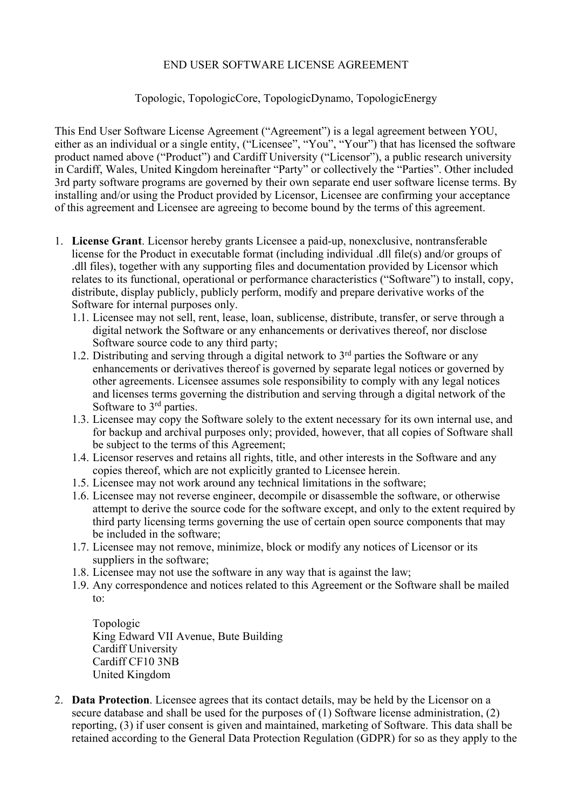## END USER SOFTWARE LICENSE AGREEMENT

## Topologic, TopologicCore, TopologicDynamo, TopologicEnergy

This End User Software License Agreement ("Agreement") is a legal agreement between YOU, either as an individual or a single entity, ("Licensee", "You", "Your") that has licensed the software product named above ("Product") and Cardiff University ("Licensor"), a public research university in Cardiff, Wales, United Kingdom hereinafter "Party" or collectively the "Parties". Other included 3rd party software programs are governed by their own separate end user software license terms. By installing and/or using the Product provided by Licensor, Licensee are confirming your acceptance of this agreement and Licensee are agreeing to become bound by the terms of this agreement.

- 1. **License Grant**. Licensor hereby grants Licensee a paid-up, nonexclusive, nontransferable license for the Product in executable format (including individual .dll file(s) and/or groups of .dll files), together with any supporting files and documentation provided by Licensor which relates to its functional, operational or performance characteristics ("Software") to install, copy, distribute, display publicly, publicly perform, modify and prepare derivative works of the Software for internal purposes only.
	- 1.1. Licensee may not sell, rent, lease, loan, sublicense, distribute, transfer, or serve through a digital network the Software or any enhancements or derivatives thereof, nor disclose Software source code to any third party;
	- 1.2. Distributing and serving through a digital network to  $3<sup>rd</sup>$  parties the Software or any enhancements or derivatives thereof is governed by separate legal notices or governed by other agreements. Licensee assumes sole responsibility to comply with any legal notices and licenses terms governing the distribution and serving through a digital network of the Software to 3<sup>rd</sup> parties.
	- 1.3. Licensee may copy the Software solely to the extent necessary for its own internal use, and for backup and archival purposes only; provided, however, that all copies of Software shall be subject to the terms of this Agreement;
	- 1.4. Licensor reserves and retains all rights, title, and other interests in the Software and any copies thereof, which are not explicitly granted to Licensee herein.
	- 1.5. Licensee may not work around any technical limitations in the software;
	- 1.6. Licensee may not reverse engineer, decompile or disassemble the software, or otherwise attempt to derive the source code for the software except, and only to the extent required by third party licensing terms governing the use of certain open source components that may be included in the software;
	- 1.7. Licensee may not remove, minimize, block or modify any notices of Licensor or its suppliers in the software;
	- 1.8. Licensee may not use the software in any way that is against the law;
	- 1.9. Any correspondence and notices related to this Agreement or the Software shall be mailed to:

Topologic King Edward VII Avenue, Bute Building Cardiff University Cardiff CF10 3NB United Kingdom

2. **Data Protection**. Licensee agrees that its contact details, may be held by the Licensor on a secure database and shall be used for the purposes of (1) Software license administration, (2) reporting, (3) if user consent is given and maintained, marketing of Software. This data shall be retained according to the General Data Protection Regulation (GDPR) for so as they apply to the